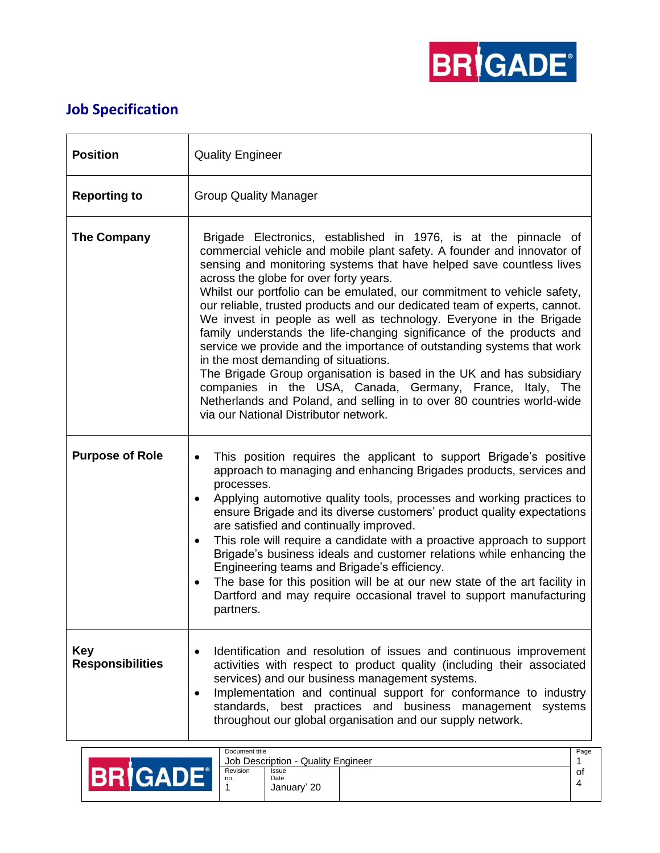

## **Job Specification**

| <b>Position</b>                       | <b>Quality Engineer</b>                                                                                                                                                                                                                                                                                                                                                                                                                                                                                                                                                                                                                                                                                                                                                                                                                                                                                                                      |  |  |
|---------------------------------------|----------------------------------------------------------------------------------------------------------------------------------------------------------------------------------------------------------------------------------------------------------------------------------------------------------------------------------------------------------------------------------------------------------------------------------------------------------------------------------------------------------------------------------------------------------------------------------------------------------------------------------------------------------------------------------------------------------------------------------------------------------------------------------------------------------------------------------------------------------------------------------------------------------------------------------------------|--|--|
| <b>Reporting to</b>                   | <b>Group Quality Manager</b>                                                                                                                                                                                                                                                                                                                                                                                                                                                                                                                                                                                                                                                                                                                                                                                                                                                                                                                 |  |  |
| The Company                           | Brigade Electronics, established in 1976, is at the pinnacle of<br>commercial vehicle and mobile plant safety. A founder and innovator of<br>sensing and monitoring systems that have helped save countless lives<br>across the globe for over forty years.<br>Whilst our portfolio can be emulated, our commitment to vehicle safety,<br>our reliable, trusted products and our dedicated team of experts, cannot.<br>We invest in people as well as technology. Everyone in the Brigade<br>family understands the life-changing significance of the products and<br>service we provide and the importance of outstanding systems that work<br>in the most demanding of situations.<br>The Brigade Group organisation is based in the UK and has subsidiary<br>companies in the USA, Canada, Germany, France, Italy, The<br>Netherlands and Poland, and selling in to over 80 countries world-wide<br>via our National Distributor network. |  |  |
| <b>Purpose of Role</b>                | This position requires the applicant to support Brigade's positive<br>$\bullet$<br>approach to managing and enhancing Brigades products, services and<br>processes.<br>Applying automotive quality tools, processes and working practices to<br>$\bullet$<br>ensure Brigade and its diverse customers' product quality expectations<br>are satisfied and continually improved.<br>This role will require a candidate with a proactive approach to support<br>$\bullet$<br>Brigade's business ideals and customer relations while enhancing the<br>Engineering teams and Brigade's efficiency.<br>The base for this position will be at our new state of the art facility in<br>$\bullet$<br>Dartford and may require occasional travel to support manufacturing<br>partners.                                                                                                                                                                 |  |  |
| <b>Key</b><br><b>Responsibilities</b> | Identification and resolution of issues and continuous improvement<br>$\bullet$<br>activities with respect to product quality (including their associated<br>services) and our business management systems.<br>Implementation and continual support for conformance to industry<br>$\bullet$<br>standards, best practices and business management systems<br>throughout our global organisation and our supply network.                                                                                                                                                                                                                                                                                                                                                                                                                                                                                                                      |  |  |

| Document title                     |                              |  | Page |
|------------------------------------|------------------------------|--|------|
| Job Description - Quality Engineer |                              |  |      |
| Revision<br>no.                    | Issue<br>Date<br>January' 20 |  | 0t   |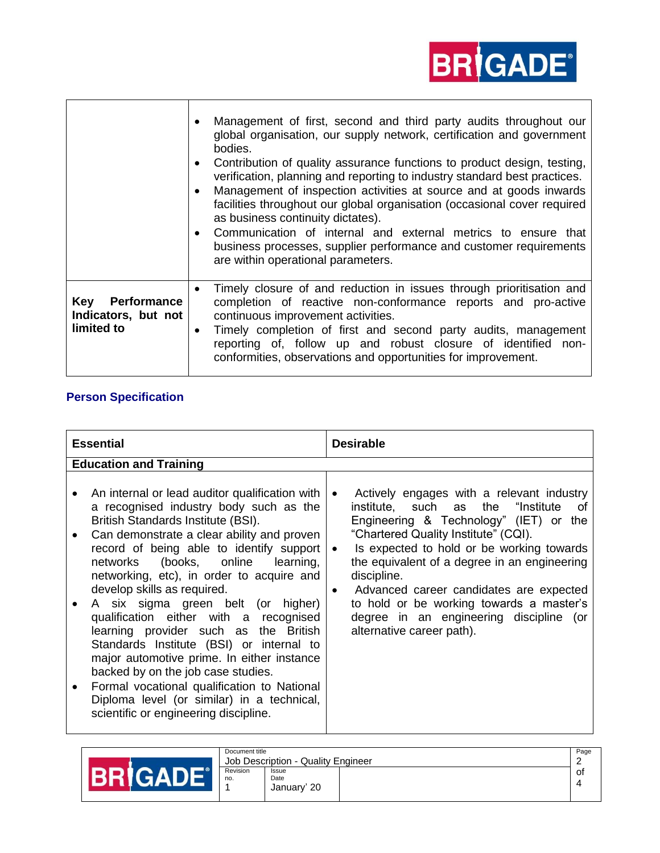## **BR***GADE*

|                                                         | Management of first, second and third party audits throughout our<br>$\bullet$<br>global organisation, our supply network, certification and government<br>bodies.<br>Contribution of quality assurance functions to product design, testing,<br>$\bullet$<br>verification, planning and reporting to industry standard best practices.<br>Management of inspection activities at source and at goods inwards<br>$\bullet$<br>facilities throughout our global organisation (occasional cover required<br>as business continuity dictates).<br>Communication of internal and external metrics to ensure that<br>$\bullet$<br>business processes, supplier performance and customer requirements<br>are within operational parameters. |
|---------------------------------------------------------|---------------------------------------------------------------------------------------------------------------------------------------------------------------------------------------------------------------------------------------------------------------------------------------------------------------------------------------------------------------------------------------------------------------------------------------------------------------------------------------------------------------------------------------------------------------------------------------------------------------------------------------------------------------------------------------------------------------------------------------|
| Key<br>Performance<br>Indicators, but not<br>limited to | Timely closure of and reduction in issues through prioritisation and<br>$\bullet$<br>completion of reactive non-conformance reports and pro-active<br>continuous improvement activities.<br>Timely completion of first and second party audits, management<br>$\bullet$<br>reporting of, follow up and robust closure of identified non-<br>conformities, observations and opportunities for improvement.                                                                                                                                                                                                                                                                                                                             |

## **Person Specification**

| <b>Essential</b>                                                                                                                                                                                                                                                                                                                                                                                                                                                                                                                                                                                                                                                                                                                            | <b>Desirable</b>                                                                                                                                                                                                                                                                                                                                                                                                                                                                                  |  |
|---------------------------------------------------------------------------------------------------------------------------------------------------------------------------------------------------------------------------------------------------------------------------------------------------------------------------------------------------------------------------------------------------------------------------------------------------------------------------------------------------------------------------------------------------------------------------------------------------------------------------------------------------------------------------------------------------------------------------------------------|---------------------------------------------------------------------------------------------------------------------------------------------------------------------------------------------------------------------------------------------------------------------------------------------------------------------------------------------------------------------------------------------------------------------------------------------------------------------------------------------------|--|
| <b>Education and Training</b>                                                                                                                                                                                                                                                                                                                                                                                                                                                                                                                                                                                                                                                                                                               |                                                                                                                                                                                                                                                                                                                                                                                                                                                                                                   |  |
| An internal or lead auditor qualification with<br>a recognised industry body such as the<br>British Standards Institute (BSI).<br>Can demonstrate a clear ability and proven<br>record of being able to identify support<br>networks (books, online<br>learning,<br>networking, etc), in order to acquire and<br>develop skills as required.<br>A six sigma green belt (or higher)<br>qualification either with a recognised<br>learning provider such as the British<br>Standards Institute (BSI) or internal to<br>major automotive prime. In either instance<br>backed by on the job case studies.<br>Formal vocational qualification to National<br>Diploma level (or similar) in a technical,<br>scientific or engineering discipline. | Actively engages with a relevant industry<br>$\bullet$<br>institute, such as<br>"Institute<br>the<br>of<br>Engineering & Technology" (IET) or<br>the<br>"Chartered Quality Institute" (CQI).<br>Is expected to hold or be working towards<br>$\bullet$<br>the equivalent of a degree in an engineering<br>discipline.<br>Advanced career candidates are expected<br>$\bullet$<br>to hold or be working towards a master's<br>degree in an engineering discipline (or<br>alternative career path). |  |

|  | Document title<br>Job Description - Quality Engineer |                 |                              | Page |    |
|--|------------------------------------------------------|-----------------|------------------------------|------|----|
|  |                                                      | Revision<br>no. | Issue<br>Date<br>January' 20 |      | 0t |